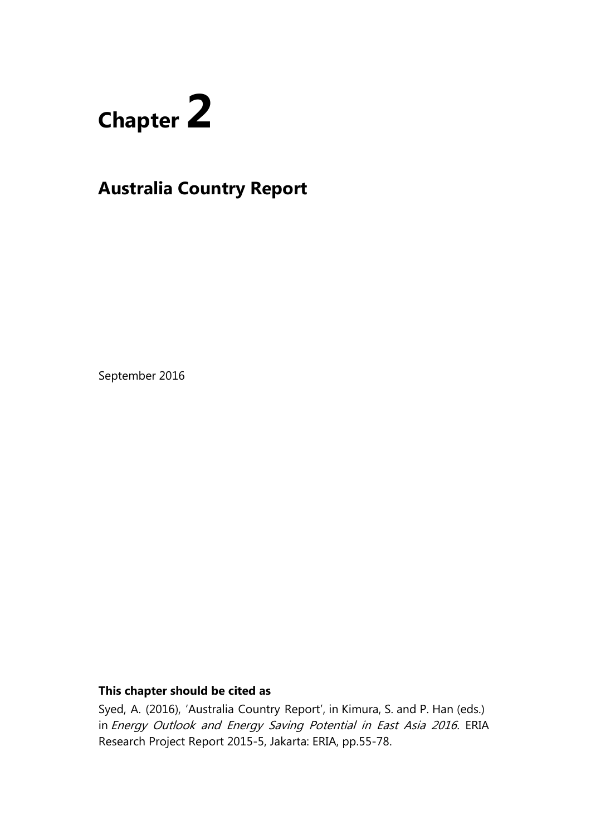

# **Australia Country Report**

September 2016

# **This chapter should be cited as**

Syed, A. (2016), 'Australia Country Report', in Kimura, S. and P. Han (eds.) in Energy Outlook and Energy Saving Potential in East Asia 2016. ERIA Research Project Report 2015-5, Jakarta: ERIA, pp.55-78.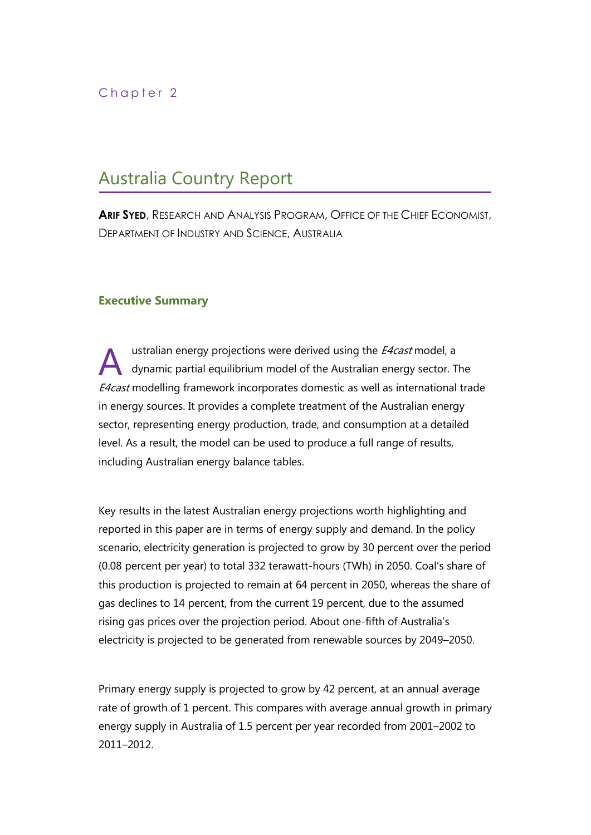# Chapter 2

# Australia Country Report

**ARIF SYED**, RESEARCH AND ANALYSIS PROGRAM, OFFICE OF THE CHIEF ECONOMIST, DEPARTMENT OF INDUSTRY AND SCIENCE, AUSTRALIA

## **Executive Summary**

ustralian energy projections were derived using the *E4cast* model, a dynamic partial equilibrium model of the Australian energy sector. The E4cast modelling framework incorporates domestic as well as international trade in energy sources. It provides a complete treatment of the Australian energy sector, representing energy production, trade, and consumption at a detailed level. As a result, the model can be used to produce a full range of results, including Australian energy balance tables. A

Key results in the latest Australian energy projections worth highlighting and reported in this paper are in terms of energy supply and demand. In the policy scenario, electricity generation is projected to grow by 30 percent over the period (0.08 percent per year) to total 332 terawatt-hours (TWh) in 2050. Coal's share of this production is projected to remain at 64 percent in 2050, whereas the share of gas declines to 14 percent, from the current 19 percent, due to the assumed rising gas prices over the projection period. About one-fifth of Australia's electricity is projected to be generated from renewable sources by 2049–2050.

Primary energy supply is projected to grow by 42 percent, at an annual average rate of growth of 1 percent. This compares with average annual growth in primary energy supply in Australia of 1.5 percent per year recorded from 2001–2002 to 2011–2012.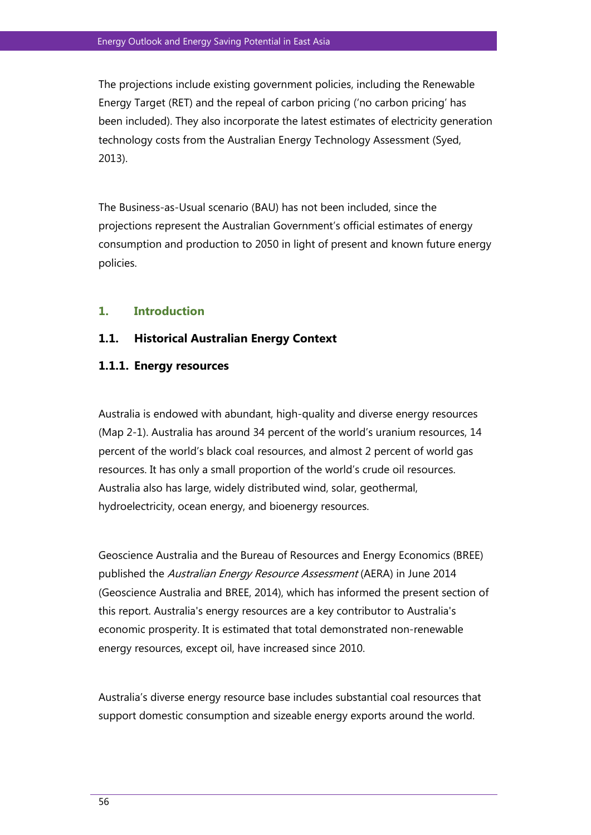The projections include existing government policies, including the Renewable Energy Target (RET) and the repeal of carbon pricing ('no carbon pricing' has been included). They also incorporate the latest estimates of electricity generation technology costs from the Australian Energy Technology Assessment (Syed, 2013).

The Business-as-Usual scenario (BAU) has not been included, since the projections represent the Australian Government's official estimates of energy consumption and production to 2050 in light of present and known future energy policies.

## **1. Introduction**

### **1.1. Historical Australian Energy Context**

#### **1.1.1. Energy resources**

Australia is endowed with abundant, high-quality and diverse energy resources (Map 2-1). Australia has around 34 percent of the world's uranium resources, 14 percent of the world's black coal resources, and almost 2 percent of world gas resources. It has only a small proportion of the world's crude oil resources. Australia also has large, widely distributed wind, solar, geothermal, hydroelectricity, ocean energy, and bioenergy resources.

Geoscience Australia and the Bureau of Resources and Energy Economics (BREE) published the Australian Energy Resource Assessment (AERA) in June 2014 (Geoscience Australia and BREE, 2014), which has informed the present section of this report. Australia's energy resources are a key contributor to Australia's economic prosperity. It is estimated that total demonstrated non-renewable energy resources, except oil, have increased since 2010.

Australia's diverse energy resource base includes substantial coal resources that support domestic consumption and sizeable energy exports around the world.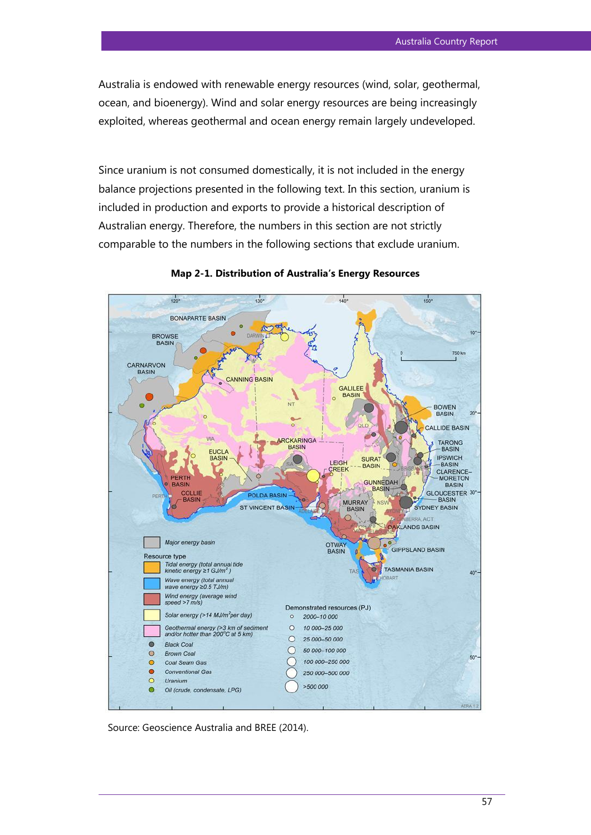Australia is endowed with renewable energy resources (wind, solar, geothermal, ocean, and bioenergy). Wind and solar energy resources are being increasingly exploited, whereas geothermal and ocean energy remain largely undeveloped.

Since uranium is not consumed domestically, it is not included in the energy balance projections presented in the following text. In this section, uranium is included in production and exports to provide a historical description of Australian energy. Therefore, the numbers in this section are not strictly comparable to the numbers in the following sections that exclude uranium.



**Map 2-1. Distribution of Australia's Energy Resources**

Source: Geoscience Australia and BREE (2014).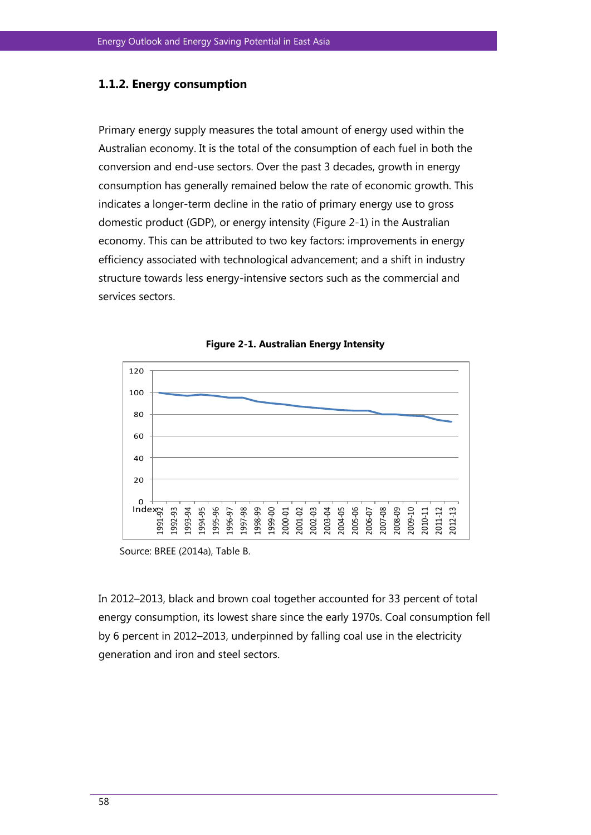### **1.1.2. Energy consumption**

Primary energy supply measures the total amount of energy used within the Australian economy. It is the total of the consumption of each fuel in both the conversion and end-use sectors. Over the past 3 decades, growth in energy consumption has generally remained below the rate of economic growth. This indicates a longer-term decline in the ratio of primary energy use to gross domestic product (GDP), or energy intensity (Figure 2-1) in the Australian economy. This can be attributed to two key factors: improvements in energy efficiency associated with technological advancement; and a shift in industry structure towards less energy-intensive sectors such as the commercial and services sectors.





Source: BREE (2014a), Table B.

In 2012–2013, black and brown coal together accounted for 33 percent of total energy consumption, its lowest share since the early 1970s. Coal consumption fell by 6 percent in 2012–2013, underpinned by falling coal use in the electricity generation and iron and steel sectors.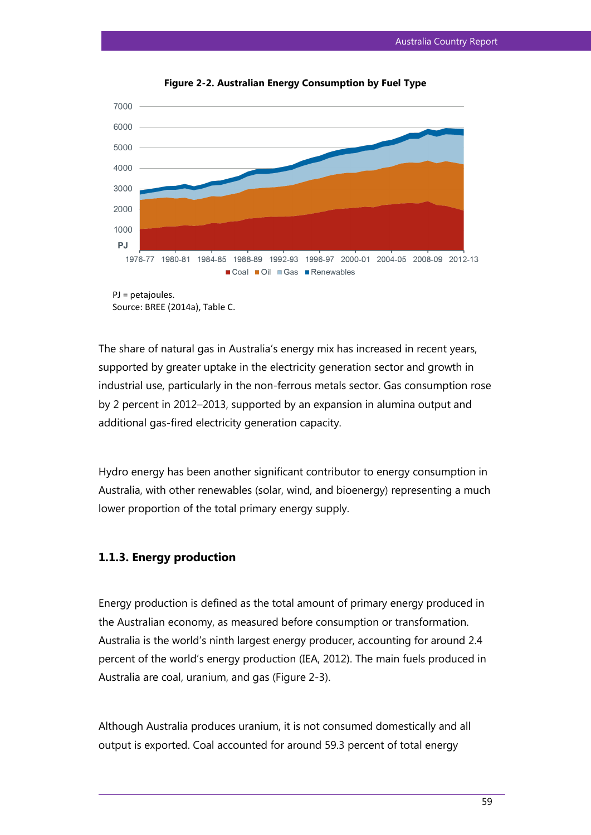

**Figure 2-2. Australian Energy Consumption by Fuel Type**

The share of natural gas in Australia's energy mix has increased in recent years, supported by greater uptake in the electricity generation sector and growth in industrial use, particularly in the non-ferrous metals sector. Gas consumption rose by 2 percent in 2012–2013, supported by an expansion in alumina output and additional gas-fired electricity generation capacity.

Hydro energy has been another significant contributor to energy consumption in Australia, with other renewables (solar, wind, and bioenergy) representing a much lower proportion of the total primary energy supply.

### **1.1.3. Energy production**

Energy production is defined as the total amount of primary energy produced in the Australian economy, as measured before consumption or transformation. Australia is the world's ninth largest energy producer, accounting for around 2.4 percent of the world's energy production (IEA, 2012). The main fuels produced in Australia are coal, uranium, and gas (Figure 2-3).

Although Australia produces uranium, it is not consumed domestically and all output is exported. Coal accounted for around 59.3 percent of total energy

Source: BREE (2014a), Table C.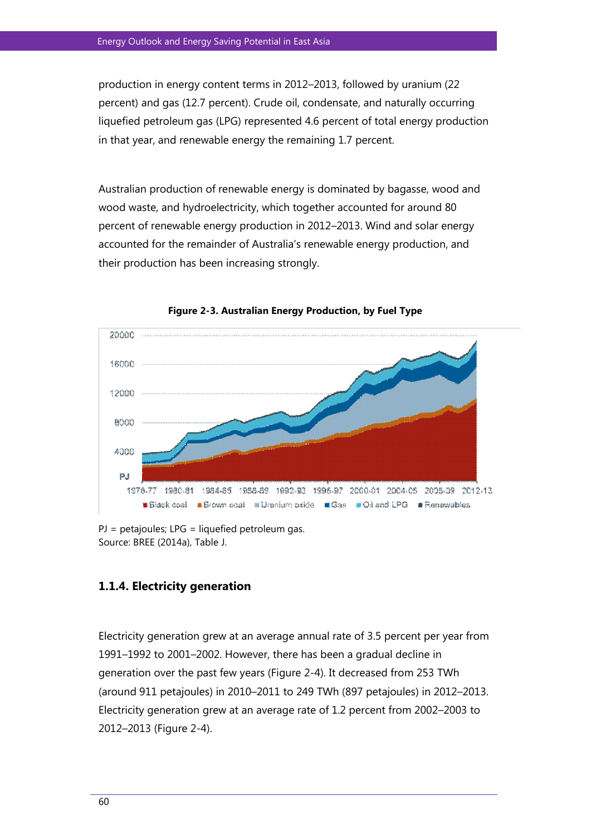production in energy content terms in 2012–2013, followed by uranium (22 percent) and gas (12.7 percent). Crude oil, condensate, and naturally occurring liquefied petroleum gas (LPG) represented 4.6 percent of total energy production in that year, and renewable energy the remaining 1.7 percent.

Australian production of renewable energy is dominated by bagasse, wood and wood waste, and hydroelectricity, which together accounted for around 80 percent of renewable energy production in 2012–2013. Wind and solar energy accounted for the remainder of Australia's renewable energy production, and their production has been increasing strongly.



**Figure 2-3. Australian Energy Production, by Fuel Type**

PJ = petajoules; LPG = liquefied petroleum gas. Source: BREE (2014a), Table J.

## **1.1.4. Electricity generation**

Electricity generation grew at an average annual rate of 3.5 percent per year from 1991–1992 to 2001–2002. However, there has been a gradual decline in generation over the past few years (Figure 2-4). It decreased from 253 TWh (around 911 petajoules) in 2010–2011 to 249 TWh (897 petajoules) in 2012–2013. Electricity generation grew at an average rate of 1.2 percent from 2002–2003 to 2012–2013 (Figure 2-4).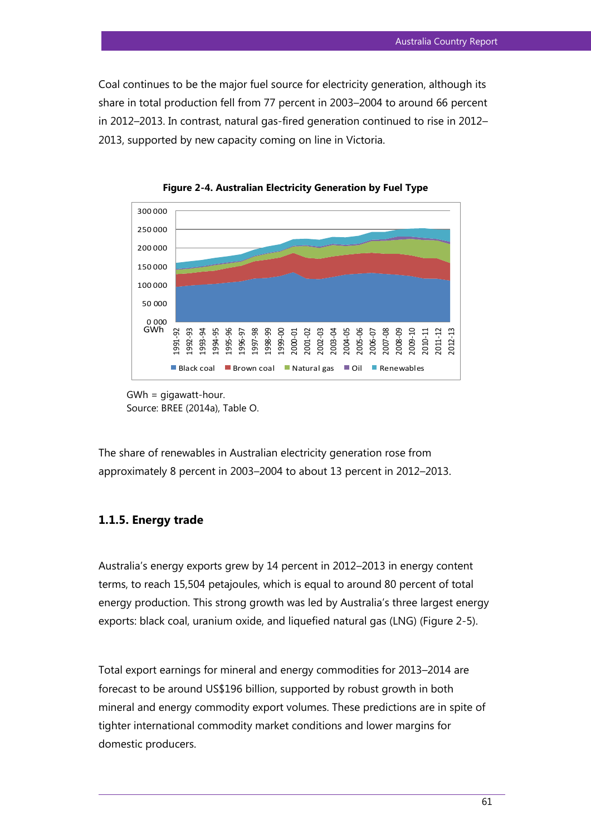Coal continues to be the major fuel source for electricity generation, although its share in total production fell from 77 percent in 2003–2004 to around 66 percent in 2012–2013. In contrast, natural gas-fired generation continued to rise in 2012– 2013, supported by new capacity coming on line in Victoria.



**Figure 2-4. Australian Electricity Generation by Fuel Type** 

```
GWh = gigawatt-hour. 
Source: BREE (2014a), Table O.
```
The share of renewables in Australian electricity generation rose from approximately 8 percent in 2003–2004 to about 13 percent in 2012–2013.

### **1.1.5. Energy trade**

Australia's energy exports grew by 14 percent in 2012–2013 in energy content terms, to reach 15,504 petajoules, which is equal to around 80 percent of total energy production. This strong growth was led by Australia's three largest energy exports: black coal, uranium oxide, and liquefied natural gas (LNG) (Figure 2-5).

Total export earnings for mineral and energy commodities for 2013–2014 are forecast to be around US\$196 billion, supported by robust growth in both mineral and energy commodity export volumes. These predictions are in spite of tighter international commodity market conditions and lower margins for domestic producers.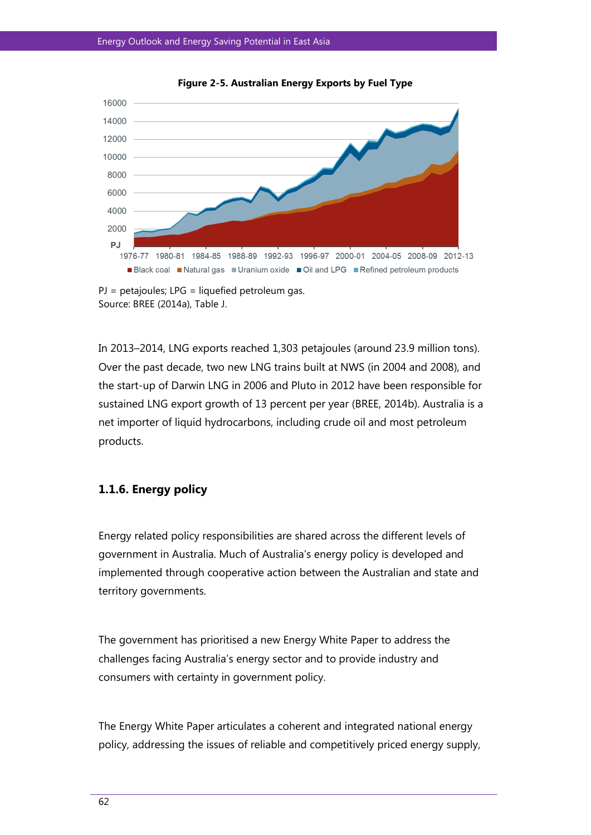



In 2013–2014, LNG exports reached 1,303 petajoules (around 23.9 million tons). Over the past decade, two new LNG trains built at NWS (in 2004 and 2008), and the start-up of Darwin LNG in 2006 and Pluto in 2012 have been responsible for sustained LNG export growth of 13 percent per year (BREE, 2014b). Australia is a net importer of liquid hydrocarbons, including crude oil and most petroleum products.

## **1.1.6. Energy policy**

Energy related policy responsibilities are shared across the different levels of government in Australia. Much of Australia's energy policy is developed and implemented through cooperative action between the Australian and state and territory governments.

The government has prioritised a new Energy White Paper to address the challenges facing Australia's energy sector and to provide industry and consumers with certainty in government policy.

The Energy White Paper articulates a coherent and integrated national energy policy, addressing the issues of reliable and competitively priced energy supply,

 $PI = petajoules; LPG = liquid.$ Source: BREE (2014a), Table J.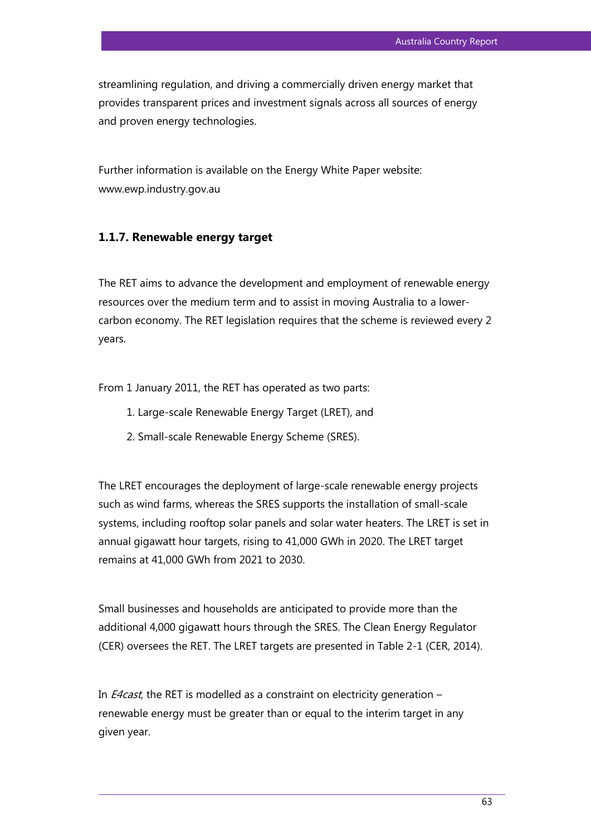streamlining regulation, and driving a commercially driven energy market that provides transparent prices and investment signals across all sources of energy and proven energy technologies.

Further information is available on the Energy White Paper website: [www.ewp.industry.gov.au](http://www.ewp.industry.gov.au/) 

### **1.1.7. Renewable energy target**

The RET aims to advance the development and employment of renewable energy resources over the medium term and to assist in moving Australia to a lowercarbon economy. The RET legislation requires that the scheme is reviewed every 2 years.

From 1 January 2011, the RET has operated as two parts:

- 1. Large-scale Renewable Energy Target (LRET), and
- 2. Small-scale Renewable Energy Scheme (SRES).

The LRET encourages the deployment of large-scale renewable energy projects such as wind farms, whereas the SRES supports the installation of small-scale systems, including rooftop solar panels and solar water heaters. The LRET is set in annual gigawatt hour targets, rising to 41,000 GWh in 2020. The LRET target remains at 41,000 GWh from 2021 to 2030.

Small businesses and households are anticipated to provide more than the additional 4,000 gigawatt hours through the SRES. The Clean Energy Regulator (CER) oversees the RET. The LRET targets are presented in Table 2-1 (CER, 2014).

In *E4cast*, the RET is modelled as a constraint on electricity generation – renewable energy must be greater than or equal to the interim target in any given year.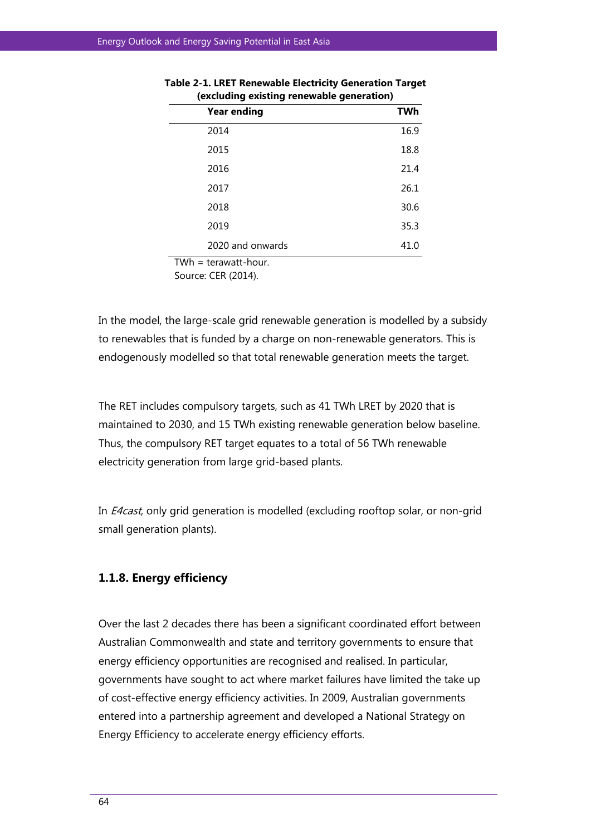|                               | ັ                  | ັ          |
|-------------------------------|--------------------|------------|
|                               | <b>Year ending</b> | <b>TWh</b> |
|                               | 2014               | 16.9       |
|                               | 2015               | 18.8       |
|                               | 2016               | 21.4       |
|                               | 2017               | 26.1       |
|                               | 2018               | 30.6       |
|                               | 2019               | 35.3       |
|                               | 2020 and onwards   | 41.0       |
| $\mathbf{r}$ and $\mathbf{r}$ | .<br>$\sim$        |            |

| Table 2-1. LRET Renewable Electricity Generation Target |  |  |
|---------------------------------------------------------|--|--|
| (excluding existing renewable generation)               |  |  |

TWh = terawatt-hour.

Source: CER (2014).

In the model, the large-scale grid renewable generation is modelled by a subsidy to renewables that is funded by a charge on non-renewable generators. This is endogenously modelled so that total renewable generation meets the target.

The RET includes compulsory targets, such as 41 TWh LRET by 2020 that is maintained to 2030, and 15 TWh existing renewable generation below baseline. Thus, the compulsory RET target equates to a total of 56 TWh renewable electricity generation from large grid-based plants.

In *E4cast*, only grid generation is modelled (excluding rooftop solar, or non-grid small generation plants).

## **1.1.8. Energy efficiency**

Over the last 2 decades there has been a significant coordinated effort between Australian Commonwealth and state and territory governments to ensure that energy efficiency opportunities are recognised and realised. In particular, governments have sought to act where market failures have limited the take up of cost-effective energy efficiency activities. In 2009, Australian governments entered into a partnership agreement and developed a National Strategy on Energy Efficiency to accelerate energy efficiency efforts.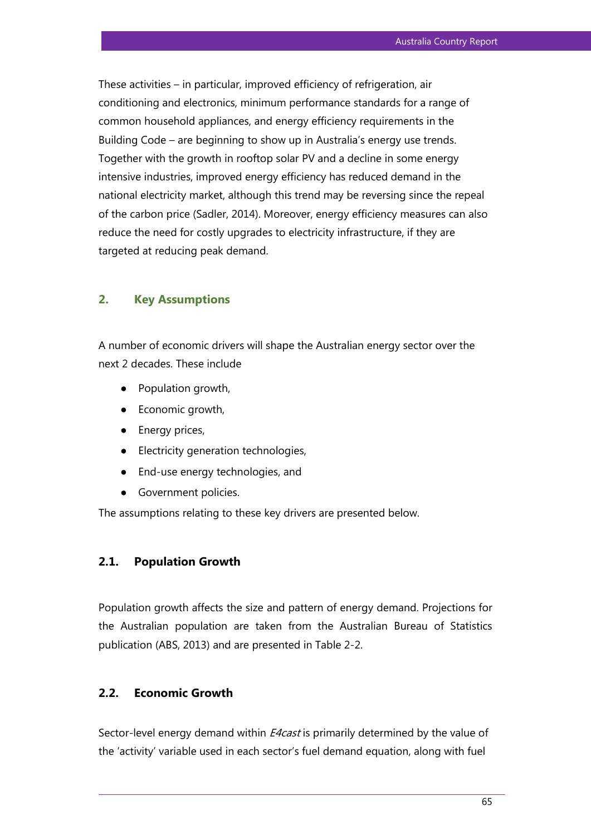These activities – in particular, improved efficiency of refrigeration, air conditioning and electronics, minimum performance standards for a range of common household appliances, and energy efficiency requirements in the Building Code – are beginning to show up in Australia's energy use trends. Together with the growth in rooftop solar PV and a decline in some energy intensive industries, improved energy efficiency has reduced demand in the national electricity market, although this trend may be reversing since the repeal of the carbon price (Sadler, 2014). Moreover, energy efficiency measures can also reduce the need for costly upgrades to electricity infrastructure, if they are targeted at reducing peak demand.

## **2. Key Assumptions**

A number of economic drivers will shape the Australian energy sector over the next 2 decades. These include

- Population growth,
- Economic growth,
- Energy prices,
- Electricity generation technologies,
- End-use energy technologies, and
- Government policies.

The assumptions relating to these key drivers are presented below.

## **2.1. Population Growth**

Population growth affects the size and pattern of energy demand. Projections for the Australian population are taken from the Australian Bureau of Statistics publication (ABS, 2013) and are presented in Table 2-2.

#### **2.2. Economic Growth**

Sector-level energy demand within *E4cast* is primarily determined by the value of the 'activity' variable used in each sector's fuel demand equation, along with fuel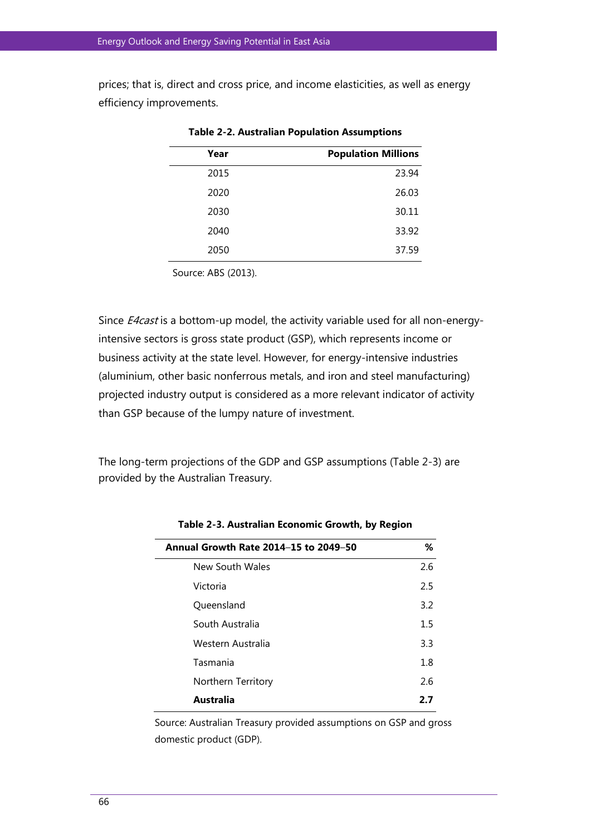prices; that is, direct and cross price, and income elasticities, as well as energy efficiency improvements.

| <b>Population Millions</b> |
|----------------------------|
| 23.94                      |
| 26.03                      |
| 30.11                      |
| 33.92                      |
| 37.59                      |
|                            |

**Table 2-2. Australian Population Assumptions** 

Source: ABS (2013).

Since *E4cast* is a bottom-up model, the activity variable used for all non-energyintensive sectors is gross state product (GSP), which represents income or business activity at the state level. However, for energy-intensive industries (aluminium, other basic nonferrous metals, and iron and steel manufacturing) projected industry output is considered as a more relevant indicator of activity than GSP because of the lumpy nature of investment.

The long-term projections of the GDP and GSP assumptions (Table 2-3) are provided by the Australian Treasury.

| Annual Growth Rate 2014-15 to 2049-50 | %       |
|---------------------------------------|---------|
| New South Wales                       | 2.6     |
| Victoria                              | 2.5     |
| Queensland                            | 3.2     |
| South Australia                       | $1.5\,$ |
| Western Australia                     | 3.3     |
| Tasmania                              | 1.8     |
| Northern Territory                    | 2.6     |
| Australia                             | 2.7     |

**Table 2-3. Australian Economic Growth, by Region** 

Source: Australian Treasury provided assumptions on GSP and gross domestic product (GDP).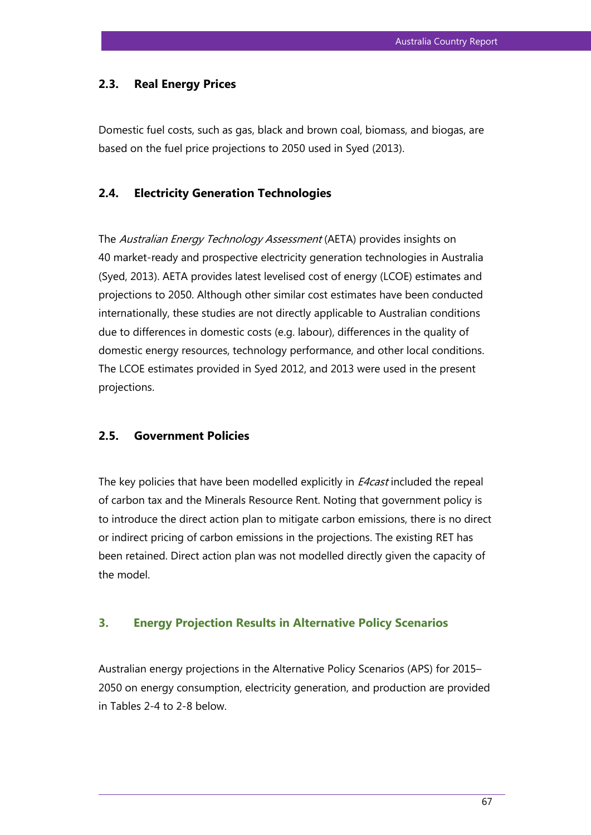## **2.3. Real Energy Prices**

Domestic fuel costs, such as gas, black and brown coal, biomass, and biogas, are based on the fuel price projections to 2050 used in Syed (2013).

## **2.4. Electricity Generation Technologies**

The Australian Energy Technology Assessment (AETA) provides insights on 40 market-ready and prospective electricity generation technologies in Australia (Syed, 2013). AETA provides latest levelised cost of energy (LCOE) estimates and projections to 2050. Although other similar cost estimates have been conducted internationally, these studies are not directly applicable to Australian conditions due to differences in domestic costs (e.g. labour), differences in the quality of domestic energy resources, technology performance, and other local conditions. The LCOE estimates provided in Syed 2012, and 2013 were used in the present projections.

#### **2.5. Government Policies**

The key policies that have been modelled explicitly in *E4cast* included the repeal of carbon tax and the Minerals Resource Rent. Noting that government policy is to introduce the direct action plan to mitigate carbon emissions, there is no direct or indirect pricing of carbon emissions in the projections. The existing RET has been retained. Direct action plan was not modelled directly given the capacity of the model.

#### **3. Energy Projection Results in Alternative Policy Scenarios**

Australian energy projections in the Alternative Policy Scenarios (APS) for 2015– 2050 on energy consumption, electricity generation, and production are provided in Tables 2-4 to 2-8 below.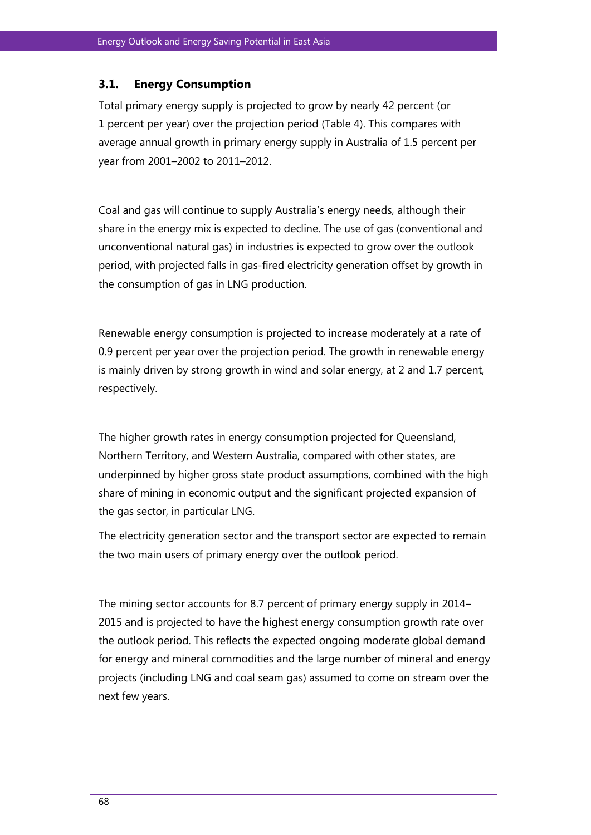## **3.1. Energy Consumption**

Total primary energy supply is projected to grow by nearly 42 percent (or 1 percent per year) over the projection period (Table 4). This compares with average annual growth in primary energy supply in Australia of 1.5 percent per year from 2001–2002 to 2011–2012.

Coal and gas will continue to supply Australia's energy needs, although their share in the energy mix is expected to decline. The use of gas (conventional and unconventional natural gas) in industries is expected to grow over the outlook period, with projected falls in gas-fired electricity generation offset by growth in the consumption of gas in LNG production.

Renewable energy consumption is projected to increase moderately at a rate of 0.9 percent per year over the projection period. The growth in renewable energy is mainly driven by strong growth in wind and solar energy, at 2 and 1.7 percent, respectively.

The higher growth rates in energy consumption projected for Queensland, Northern Territory, and Western Australia, compared with other states, are underpinned by higher gross state product assumptions, combined with the high share of mining in economic output and the significant projected expansion of the gas sector, in particular LNG.

The electricity generation sector and the transport sector are expected to remain the two main users of primary energy over the outlook period.

The mining sector accounts for 8.7 percent of primary energy supply in 2014– 2015 and is projected to have the highest energy consumption growth rate over the outlook period. This reflects the expected ongoing moderate global demand for energy and mineral commodities and the large number of mineral and energy projects (including LNG and coal seam gas) assumed to come on stream over the next few years.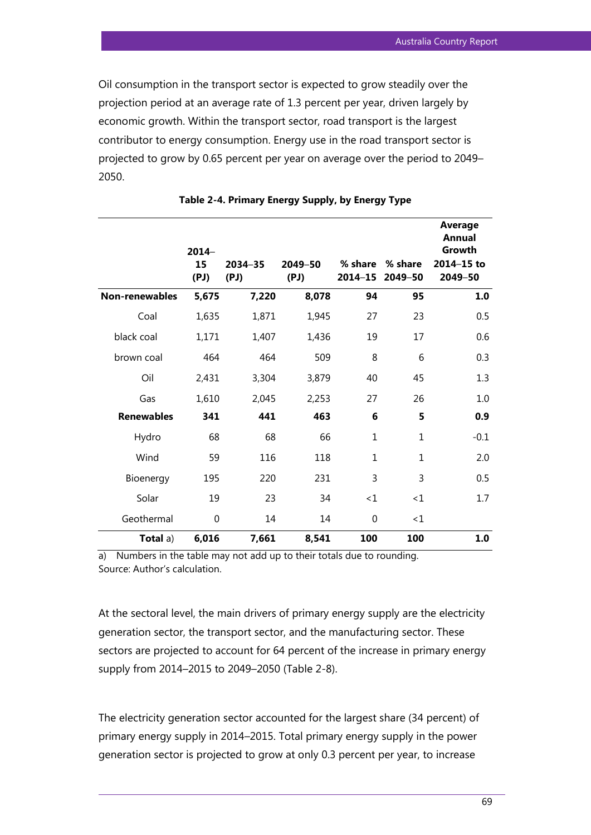Oil consumption in the transport sector is expected to grow steadily over the projection period at an average rate of 1.3 percent per year, driven largely by economic growth. Within the transport sector, road transport is the largest contributor to energy consumption. Energy use in the road transport sector is projected to grow by 0.65 percent per year on average over the period to 2049– 2050.

|                   | $2014-$<br>15<br>(PJ) | $2034 - 35$<br>(PJ) | 2049-50<br>(PJ) | % share<br>2014-15 | % share<br>2049-50 | <b>Average</b><br>Annual<br>Growth<br>2014-15 to<br>2049-50 |
|-------------------|-----------------------|---------------------|-----------------|--------------------|--------------------|-------------------------------------------------------------|
| Non-renewables    | 5,675                 | 7,220               | 8,078           | 94                 | 95                 | 1.0                                                         |
| Coal              | 1,635                 | 1,871               | 1,945           | 27                 | 23                 | 0.5                                                         |
| black coal        | 1,171                 | 1,407               | 1,436           | 19                 | 17                 | 0.6                                                         |
| brown coal        | 464                   | 464                 | 509             | 8                  | 6                  | 0.3                                                         |
| Oil               | 2,431                 | 3,304               | 3,879           | 40                 | 45                 | 1.3                                                         |
| Gas               | 1,610                 | 2,045               | 2,253           | 27                 | 26                 | 1.0                                                         |
| <b>Renewables</b> | 341                   | 441                 | 463             | 6                  | 5                  | 0.9                                                         |
| Hydro             | 68                    | 68                  | 66              | $\mathbf{1}$       | $\mathbf{1}$       | $-0.1$                                                      |
| Wind              | 59                    | 116                 | 118             | $\mathbf{1}$       | $\mathbf{1}$       | 2.0                                                         |
| Bioenergy         | 195                   | 220                 | 231             | 3                  | 3                  | 0.5                                                         |
| Solar             | 19                    | 23                  | 34              | <1                 | <1                 | 1.7                                                         |
| Geothermal        | $\mathbf 0$           | 14                  | 14              | $\overline{0}$     | <1                 |                                                             |
| Total a)          | 6,016                 | 7,661               | 8,541           | 100                | 100                | 1.0                                                         |

**Table 2-4. Primary Energy Supply, by Energy Type**

a) Numbers in the table may not add up to their totals due to rounding. Source: Author's calculation.

At the sectoral level, the main drivers of primary energy supply are the electricity generation sector, the transport sector, and the manufacturing sector. These sectors are projected to account for 64 percent of the increase in primary energy supply from 2014–2015 to 2049–2050 (Table 2-8).

The electricity generation sector accounted for the largest share (34 percent) of primary energy supply in 2014–2015. Total primary energy supply in the power generation sector is projected to grow at only 0.3 percent per year, to increase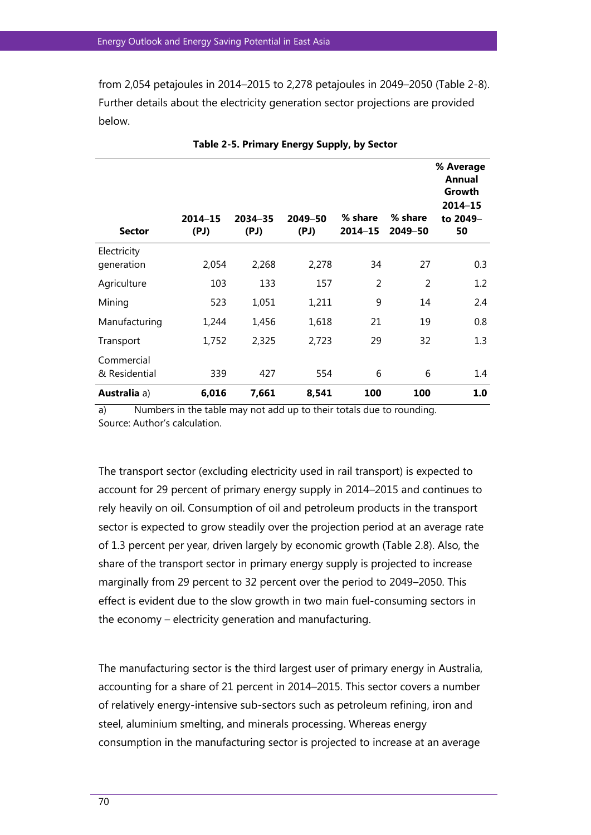from 2,054 petajoules in 2014–2015 to 2,278 petajoules in 2049–2050 (Table 2-8). Further details about the electricity generation sector projections are provided below.

| <b>Sector</b>               | $2014 - 15$<br>(PJ) | 2034-35<br>(PJ) | 2049-50<br>(PJ) | % share<br>$2014 - 15$ | % share<br>2049-50 | % Average<br>Annual<br>Growth<br>2014-15<br>to 2049-<br>50 |
|-----------------------------|---------------------|-----------------|-----------------|------------------------|--------------------|------------------------------------------------------------|
| Electricity                 |                     | 2,268           |                 | 34                     | 27                 |                                                            |
| generation                  | 2,054               |                 | 2,278           |                        |                    | 0.3                                                        |
| Agriculture                 | 103                 | 133             | 157             | $\overline{2}$         | 2                  | 1.2                                                        |
| Mining                      | 523                 | 1,051           | 1,211           | 9                      | 14                 | 2.4                                                        |
| Manufacturing               | 1,244               | 1,456           | 1,618           | 21                     | 19                 | 0.8                                                        |
| Transport                   | 1,752               | 2,325           | 2,723           | 29                     | 32                 | 1.3                                                        |
| Commercial<br>& Residential | 339                 | 427             | 554             | 6                      | 6                  | 1.4                                                        |
| Australia a)                | 6,016               | 7,661           | 8,541           | 100                    | 100                | 1.0                                                        |

**Table 2-5. Primary Energy Supply, by Sector** 

a) Numbers in the table may not add up to their totals due to rounding. Source: Author's calculation.

The transport sector (excluding electricity used in rail transport) is expected to account for 29 percent of primary energy supply in 2014–2015 and continues to rely heavily on oil. Consumption of oil and petroleum products in the transport sector is expected to grow steadily over the projection period at an average rate of 1.3 percent per year, driven largely by economic growth (Table 2.8). Also, the share of the transport sector in primary energy supply is projected to increase marginally from 29 percent to 32 percent over the period to 2049–2050. This effect is evident due to the slow growth in two main fuel-consuming sectors in the economy – electricity generation and manufacturing.

The manufacturing sector is the third largest user of primary energy in Australia, accounting for a share of 21 percent in 2014–2015. This sector covers a number of relatively energy-intensive sub-sectors such as petroleum refining, iron and steel, aluminium smelting, and minerals processing. Whereas energy consumption in the manufacturing sector is projected to increase at an average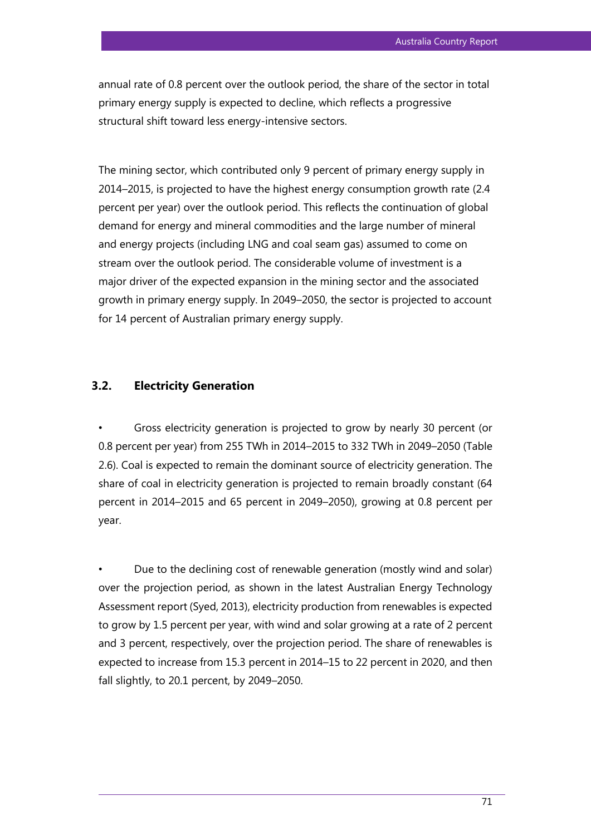annual rate of 0.8 percent over the outlook period, the share of the sector in total primary energy supply is expected to decline, which reflects a progressive structural shift toward less energy-intensive sectors.

The mining sector, which contributed only 9 percent of primary energy supply in 2014–2015, is projected to have the highest energy consumption growth rate (2.4 percent per year) over the outlook period. This reflects the continuation of global demand for energy and mineral commodities and the large number of mineral and energy projects (including LNG and coal seam gas) assumed to come on stream over the outlook period. The considerable volume of investment is a major driver of the expected expansion in the mining sector and the associated growth in primary energy supply. In 2049–2050, the sector is projected to account for 14 percent of Australian primary energy supply.

## **3.2. Electricity Generation**

• Gross electricity generation is projected to grow by nearly 30 percent (or 0.8 percent per year) from 255 TWh in 2014–2015 to 332 TWh in 2049–2050 (Table 2.6). Coal is expected to remain the dominant source of electricity generation. The share of coal in electricity generation is projected to remain broadly constant (64 percent in 2014–2015 and 65 percent in 2049–2050), growing at 0.8 percent per year.

• Due to the declining cost of renewable generation (mostly wind and solar) over the projection period, as shown in the latest Australian Energy Technology Assessment report (Syed, 2013), electricity production from renewables is expected to grow by 1.5 percent per year, with wind and solar growing at a rate of 2 percent and 3 percent, respectively, over the projection period. The share of renewables is expected to increase from 15.3 percent in 2014–15 to 22 percent in 2020, and then fall slightly, to 20.1 percent, by 2049–2050.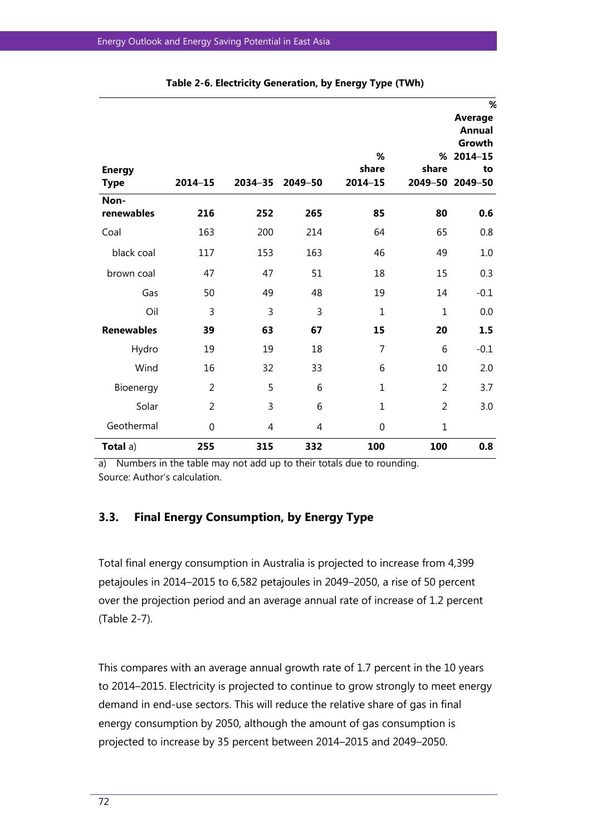| <b>Energy</b><br><b>Type</b> | $2014 - 15$    | 2034-35        | 2049-50        | %<br>share<br>$2014 - 15$ | %<br>share<br>2049-50 | %<br><b>Average</b><br><b>Annual</b><br>Growth<br>$2014 - 15$<br>to<br>2049-50 |
|------------------------------|----------------|----------------|----------------|---------------------------|-----------------------|--------------------------------------------------------------------------------|
| Non-<br>renewables           | 216            | 252            | 265            | 85                        | 80                    | 0.6                                                                            |
| Coal                         | 163            | 200            | 214            | 64                        | 65                    | 0.8                                                                            |
| black coal                   | 117            | 153            | 163            | 46                        | 49                    | 1.0                                                                            |
| brown coal                   | 47             | 47             | 51             | 18                        | 15                    | 0.3                                                                            |
| Gas                          | 50             | 49             | 48             | 19                        | 14                    | $-0.1$                                                                         |
| Oil                          | 3              | $\overline{3}$ | $\overline{3}$ | $\mathbf{1}$              | $\mathbf{1}$          | 0.0                                                                            |
| <b>Renewables</b>            | 39             | 63             | 67             | 15                        | 20                    | 1.5                                                                            |
| Hydro                        | 19             | 19             | 18             | 7                         | 6                     | $-0.1$                                                                         |
| Wind                         | 16             | 32             | 33             | 6                         | 10                    | 2.0                                                                            |
| Bioenergy                    | 2              | 5              | 6              | $\mathbf{1}$              | 2                     | 3.7                                                                            |
| Solar                        | $\overline{2}$ | 3              | 6              | $\mathbf{1}$              | 2                     | 3.0                                                                            |
| Geothermal                   | $\overline{0}$ | 4              | 4              | 0                         | $\mathbf{1}$          |                                                                                |
| Total a)                     | 255            | 315            | 332            | 100                       | 100                   | 0.8                                                                            |

|  | Table 2-6. Electricity Generation, by Energy Type (TWh) |  |  |
|--|---------------------------------------------------------|--|--|
|  |                                                         |  |  |

a) Numbers in the table may not add up to their totals due to rounding. Source: Author's calculation.

## **3.3. Final Energy Consumption, by Energy Type**

Total final energy consumption in Australia is projected to increase from 4,399 petajoules in 2014–2015 to 6,582 petajoules in 2049–2050, a rise of 50 percent over the projection period and an average annual rate of increase of 1.2 percent (Table 2-7).

This compares with an average annual growth rate of 1.7 percent in the 10 years to 2014–2015. Electricity is projected to continue to grow strongly to meet energy demand in end-use sectors. This will reduce the relative share of gas in final energy consumption by 2050, although the amount of gas consumption is projected to increase by 35 percent between 2014–2015 and 2049–2050.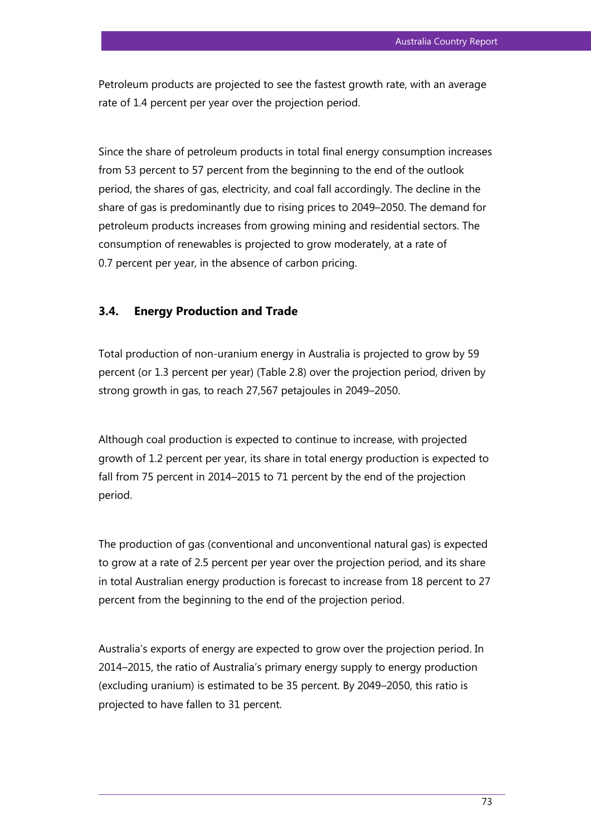Petroleum products are projected to see the fastest growth rate, with an average rate of 1.4 percent per year over the projection period.

Since the share of petroleum products in total final energy consumption increases from 53 percent to 57 percent from the beginning to the end of the outlook period, the shares of gas, electricity, and coal fall accordingly. The decline in the share of gas is predominantly due to rising prices to 2049–2050. The demand for petroleum products increases from growing mining and residential sectors. The consumption of renewables is projected to grow moderately, at a rate of 0.7 percent per year, in the absence of carbon pricing.

## **3.4. Energy Production and Trade**

Total production of non-uranium energy in Australia is projected to grow by 59 percent (or 1.3 percent per year) (Table 2.8) over the projection period, driven by strong growth in gas, to reach 27,567 petajoules in 2049–2050.

Although coal production is expected to continue to increase, with projected growth of 1.2 percent per year, its share in total energy production is expected to fall from 75 percent in 2014–2015 to 71 percent by the end of the projection period.

The production of gas (conventional and unconventional natural gas) is expected to grow at a rate of 2.5 percent per year over the projection period, and its share in total Australian energy production is forecast to increase from 18 percent to 27 percent from the beginning to the end of the projection period.

Australia's exports of energy are expected to grow over the projection period. In 2014–2015, the ratio of Australia's primary energy supply to energy production (excluding uranium) is estimated to be 35 percent. By 2049–2050, this ratio is projected to have fallen to 31 percent.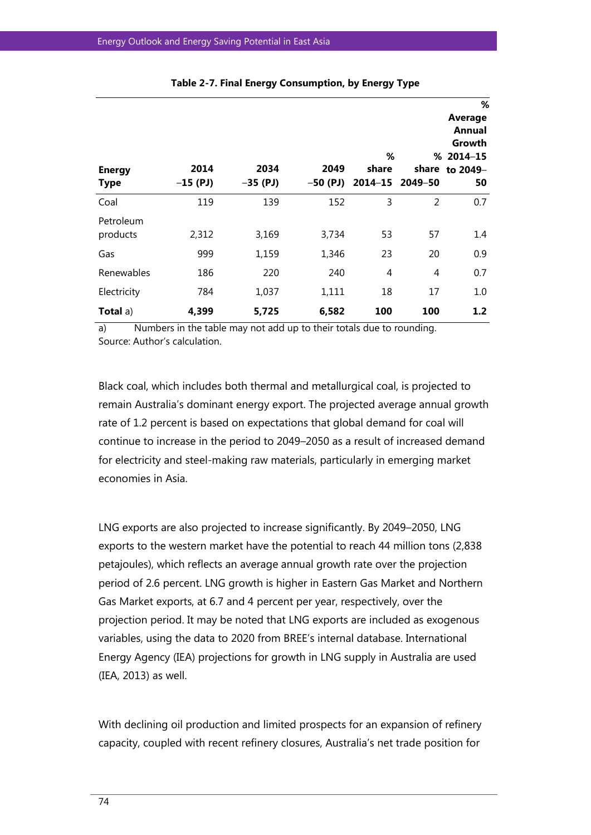| <b>Energy</b><br><b>Type</b> | 2014<br>$-15$ (PJ) | 2034<br>$-35$ (PJ) | 2049<br>$-50$ (PJ) | %<br>share<br>$2014 - 15$ | share<br>2049–50 | %<br><b>Average</b><br>Annual<br>Growth<br>$% 2014 - 15$<br>to 2049-<br>50 |
|------------------------------|--------------------|--------------------|--------------------|---------------------------|------------------|----------------------------------------------------------------------------|
| Coal                         | 119                | 139                | 152                | 3                         | $\overline{2}$   | 0.7                                                                        |
| Petroleum<br>products        | 2,312              | 3,169              | 3,734              | 53                        | 57               | 1.4                                                                        |
| Gas                          | 999                | 1,159              | 1,346              | 23                        | 20               | 0.9                                                                        |
| Renewables                   | 186                | 220                | 240                | 4                         | 4                | 0.7                                                                        |
| Electricity                  | 784                | 1,037              | 1,111              | 18                        | 17               | 1.0                                                                        |
| Total a)                     | 4,399              | 5,725              | 6,582              | 100                       | 100              | 1.2                                                                        |

#### **Table 2-7. Final Energy Consumption, by Energy Type**

a) Numbers in the table may not add up to their totals due to rounding. Source: Author's calculation.

Black coal, which includes both thermal and metallurgical coal, is projected to remain Australia's dominant energy export. The projected average annual growth rate of 1.2 percent is based on expectations that global demand for coal will continue to increase in the period to 2049–2050 as a result of increased demand for electricity and steel-making raw materials, particularly in emerging market economies in Asia.

LNG exports are also projected to increase significantly. By 2049–2050, LNG exports to the western market have the potential to reach 44 million tons (2,838 petajoules), which reflects an average annual growth rate over the projection period of 2.6 percent. LNG growth is higher in Eastern Gas Market and Northern Gas Market exports, at 6.7 and 4 percent per year, respectively, over the projection period. It may be noted that LNG exports are included as exogenous variables, using the data to 2020 from BREE's internal database. International Energy Agency (IEA) projections for growth in LNG supply in Australia are used (IEA, 2013) as well.

With declining oil production and limited prospects for an expansion of refinery capacity, coupled with recent refinery closures, Australia's net trade position for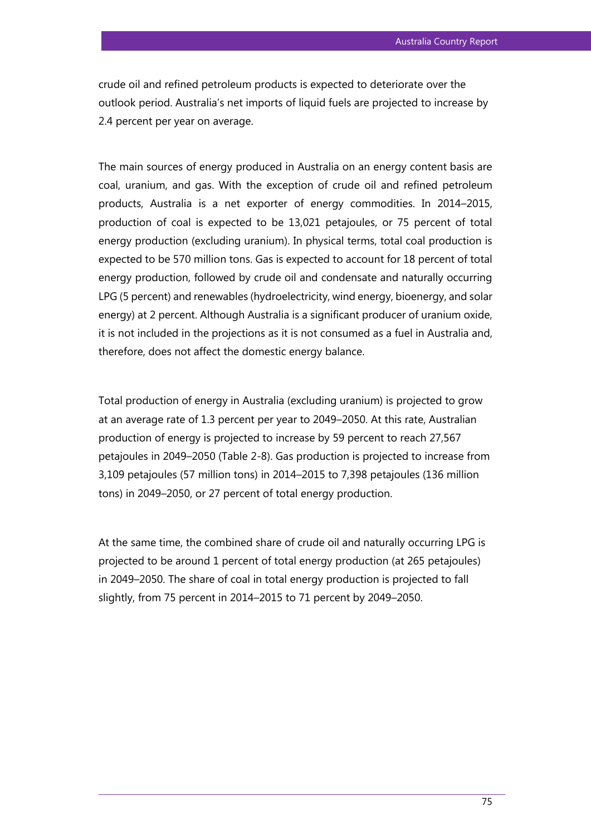crude oil and refined petroleum products is expected to deteriorate over the outlook period. Australia's net imports of liquid fuels are projected to increase by 2.4 percent per year on average.

The main sources of energy produced in Australia on an energy content basis are coal, uranium, and gas. With the exception of crude oil and refined petroleum products, Australia is a net exporter of energy commodities. In 2014–2015, production of coal is expected to be 13,021 petajoules, or 75 percent of total energy production (excluding uranium). In physical terms, total coal production is expected to be 570 million tons. Gas is expected to account for 18 percent of total energy production, followed by crude oil and condensate and naturally occurring LPG (5 percent) and renewables (hydroelectricity, wind energy, bioenergy, and solar energy) at 2 percent. Although Australia is a significant producer of uranium oxide, it is not included in the projections as it is not consumed as a fuel in Australia and, therefore, does not affect the domestic energy balance.

Total production of energy in Australia (excluding uranium) is projected to grow at an average rate of 1.3 percent per year to 2049–2050. At this rate, Australian production of energy is projected to increase by 59 percent to reach 27,567 petajoules in 2049–2050 (Table 2-8). Gas production is projected to increase from 3,109 petajoules (57 million tons) in 2014–2015 to 7,398 petajoules (136 million tons) in 2049–2050, or 27 percent of total energy production.

At the same time, the combined share of crude oil and naturally occurring LPG is projected to be around 1 percent of total energy production (at 265 petajoules) in 2049–2050. The share of coal in total energy production is projected to fall slightly, from 75 percent in 2014–2015 to 71 percent by 2049–2050.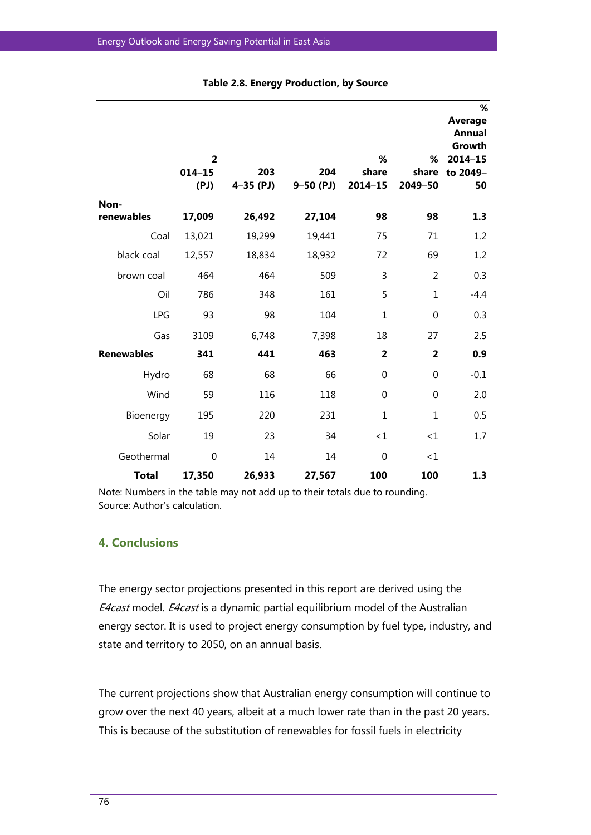|                   | $\overline{2}$<br>$014 - 15$<br>(PJ) | 203<br>$4 - 35$ (PJ) | 204<br>$9 - 50$ (PJ) | %<br>share<br>$2014 - 15$ | %<br>share<br>2049-50 | %<br>Average<br><b>Annual</b><br>Growth<br>$2014 - 15$<br>to 2049-<br>50 |
|-------------------|--------------------------------------|----------------------|----------------------|---------------------------|-----------------------|--------------------------------------------------------------------------|
| Non-              |                                      |                      |                      |                           |                       |                                                                          |
| renewables        | 17,009                               | 26,492               | 27,104               | 98                        | 98                    | 1.3                                                                      |
| Coal              | 13,021                               | 19,299               | 19,441               | 75                        | 71                    | 1.2                                                                      |
| black coal        | 12,557                               | 18,834               | 18,932               | 72                        | 69                    | 1.2                                                                      |
| brown coal        | 464                                  | 464                  | 509                  | 3                         | $\overline{2}$        | 0.3                                                                      |
| Oil               | 786                                  | 348                  | 161                  | 5                         | $\mathbf{1}$          | $-4.4$                                                                   |
| <b>LPG</b>        | 93                                   | 98                   | 104                  | $\mathbf{1}$              | $\mathbf 0$           | 0.3                                                                      |
| Gas               | 3109                                 | 6,748                | 7,398                | 18                        | 27                    | 2.5                                                                      |
| <b>Renewables</b> | 341                                  | 441                  | 463                  | $\overline{2}$            | $\overline{2}$        | 0.9                                                                      |
| Hydro             | 68                                   | 68                   | 66                   | $\mathbf 0$               | $\mathbf 0$           | $-0.1$                                                                   |
| Wind              | 59                                   | 116                  | 118                  | $\mathbf 0$               | $\boldsymbol{0}$      | 2.0                                                                      |
| Bioenergy         | 195                                  | 220                  | 231                  | $\mathbf{1}$              | $\mathbf{1}$          | 0.5                                                                      |
| Solar             | 19                                   | 23                   | 34                   | $\leq 1$                  | ~1~                   | 1.7                                                                      |
| Geothermal        | $\mathbf 0$                          | 14                   | 14                   | $\mathbf 0$               | ~1~                   |                                                                          |
| <b>Total</b>      | 17,350                               | 26,933               | 27,567               | 100                       | 100                   | 1.3                                                                      |

#### **Table 2.8. Energy Production, by Source**

Note: Numbers in the table may not add up to their totals due to rounding. Source: Author's calculation.

## **4. Conclusions**

The energy sector projections presented in this report are derived using the E4cast model. E4cast is a dynamic partial equilibrium model of the Australian energy sector. It is used to project energy consumption by fuel type, industry, and state and territory to 2050, on an annual basis.

The current projections show that Australian energy consumption will continue to grow over the next 40 years, albeit at a much lower rate than in the past 20 years. This is because of the substitution of renewables for fossil fuels in electricity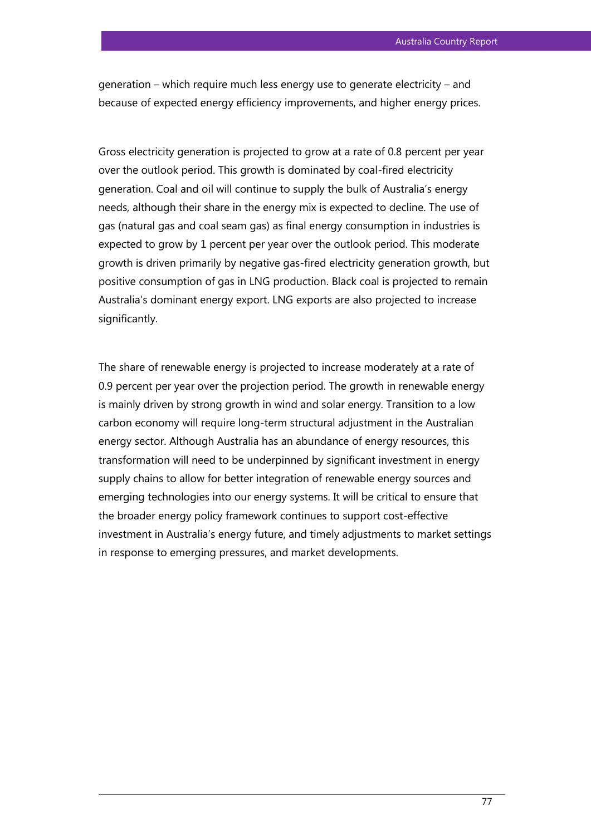generation – which require much less energy use to generate electricity – and because of expected energy efficiency improvements, and higher energy prices.

Gross electricity generation is projected to grow at a rate of 0.8 percent per year over the outlook period. This growth is dominated by coal-fired electricity generation. Coal and oil will continue to supply the bulk of Australia's energy needs, although their share in the energy mix is expected to decline. The use of gas (natural gas and coal seam gas) as final energy consumption in industries is expected to grow by 1 percent per year over the outlook period. This moderate growth is driven primarily by negative gas-fired electricity generation growth, but positive consumption of gas in LNG production. Black coal is projected to remain Australia's dominant energy export. LNG exports are also projected to increase significantly.

The share of renewable energy is projected to increase moderately at a rate of 0.9 percent per year over the projection period. The growth in renewable energy is mainly driven by strong growth in wind and solar energy. Transition to a low carbon economy will require long-term structural adjustment in the Australian energy sector. Although Australia has an abundance of energy resources, this transformation will need to be underpinned by significant investment in energy supply chains to allow for better integration of renewable energy sources and emerging technologies into our energy systems. It will be critical to ensure that the broader energy policy framework continues to support cost-effective investment in Australia's energy future, and timely adjustments to market settings in response to emerging pressures, and market developments.